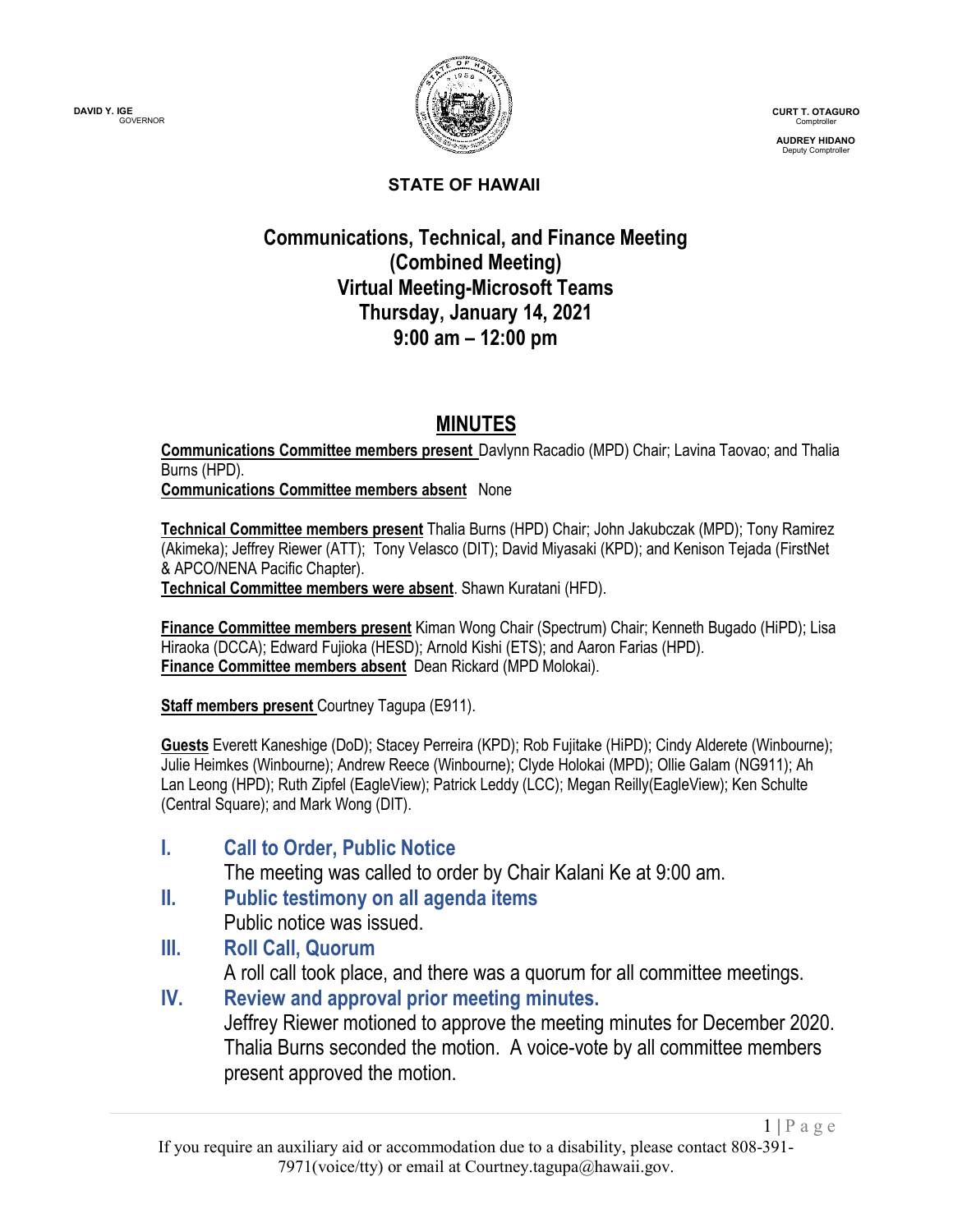

**CURT T. OTAGURO** Comptroller

**AUDREY HIDANO** Deputy Comptroller

 $1 | P \text{ a } g \text{ e}$ 

#### **STATE OF HAWAII**

## **Communications, Technical, and Finance Meeting (Combined Meeting) Virtual Meeting-Microsoft Teams Thursday, January 14, 2021 9:00 am – 12:00 pm**

## **MINUTES**

**Communications Committee members present** Davlynn Racadio (MPD) Chair; Lavina Taovao; and Thalia Burns (HPD).

**Communications Committee members absent** None

**Technical Committee members present** Thalia Burns (HPD) Chair; John Jakubczak (MPD); Tony Ramirez (Akimeka); Jeffrey Riewer (ATT); Tony Velasco (DIT); David Miyasaki (KPD); and Kenison Tejada (FirstNet & APCO/NENA Pacific Chapter).

**Technical Committee members were absent**. Shawn Kuratani (HFD).

**Finance Committee members present** Kiman Wong Chair (Spectrum) Chair; Kenneth Bugado (HiPD); Lisa Hiraoka (DCCA); Edward Fujioka (HESD); Arnold Kishi (ETS); and Aaron Farias (HPD). **Finance Committee members absent** Dean Rickard (MPD Molokai).

**Staff members present** Courtney Tagupa (E911).

**Guests** Everett Kaneshige (DoD); Stacey Perreira (KPD); Rob Fujitake (HiPD); Cindy Alderete (Winbourne); Julie Heimkes (Winbourne); Andrew Reece (Winbourne); Clyde Holokai (MPD); Ollie Galam (NG911); Ah Lan Leong (HPD); Ruth Zipfel (EagleView); Patrick Leddy (LCC); Megan Reilly(EagleView); Ken Schulte (Central Square); and Mark Wong (DIT).

**I. Call to Order, Public Notice**

The meeting was called to order by Chair Kalani Ke at 9:00 am.

- **II. Public testimony on all agenda items** Public notice was issued.
- **III. Roll Call, Quorum**

A roll call took place, and there was a quorum for all committee meetings.

**IV. Review and approval prior meeting minutes.** Jeffrey Riewer motioned to approve the meeting minutes for December 2020. Thalia Burns seconded the motion. A voice-vote by all committee members present approved the motion.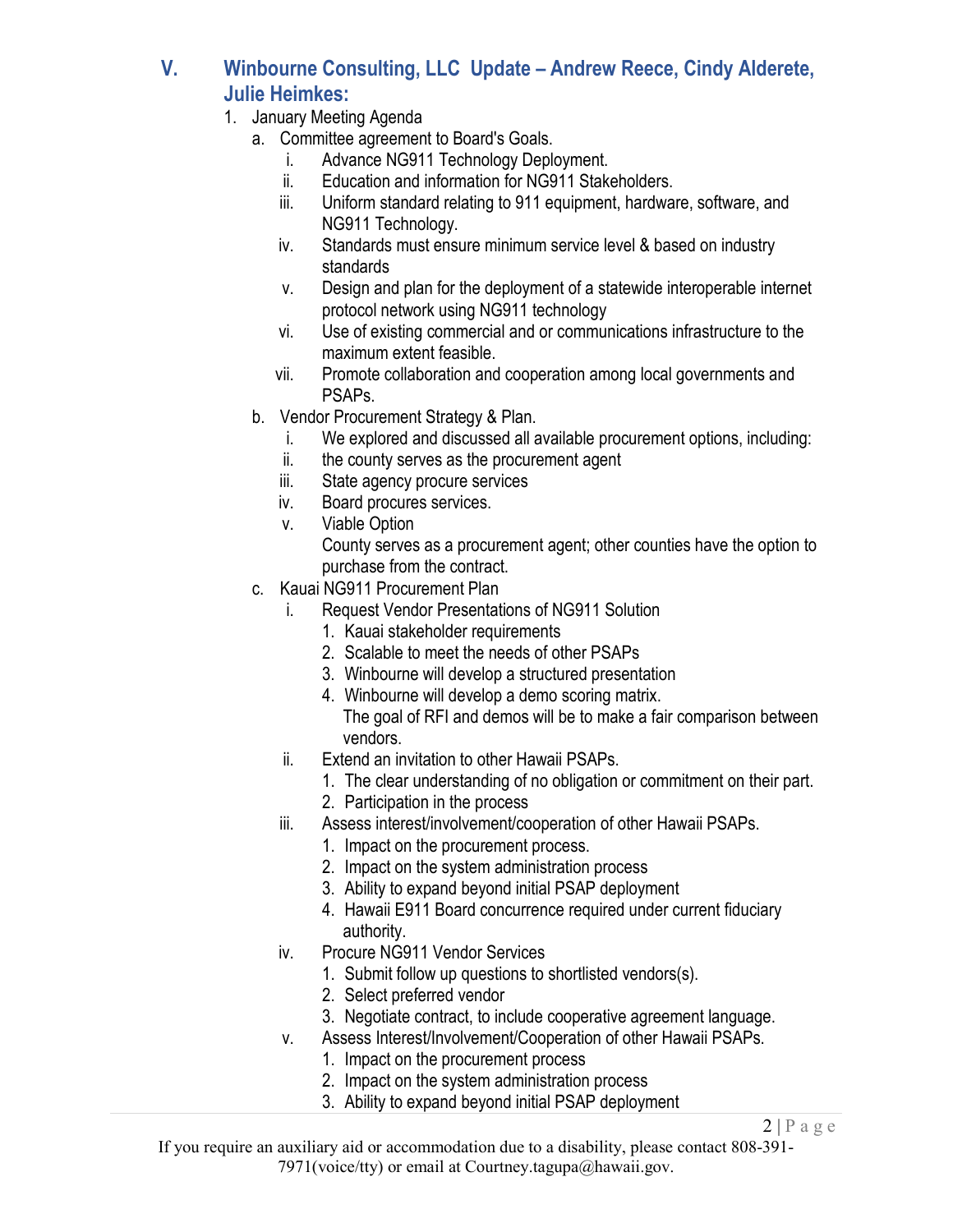- **V. Winbourne Consulting, LLC Update – Andrew Reece, Cindy Alderete, Julie Heimkes:**
	- 1. January Meeting Agenda
		- a. Committee agreement to Board's Goals.
			- i. Advance NG911 Technology Deployment.
			- ii. Education and information for NG911 Stakeholders.
			- iii. Uniform standard relating to 911 equipment, hardware, software, and NG911 Technology.
			- iv. Standards must ensure minimum service level & based on industry standards
			- v. Design and plan for the deployment of a statewide interoperable internet protocol network using NG911 technology
			- vi. Use of existing commercial and or communications infrastructure to the maximum extent feasible.
			- vii. Promote collaboration and cooperation among local governments and PSAPs.
		- b. Vendor Procurement Strategy & Plan.
			- i. We explored and discussed all available procurement options, including:
			- ii. the county serves as the procurement agent
			- iii. State agency procure services
			- iv. Board procures services.
			- v. Viable Option

County serves as a procurement agent; other counties have the option to purchase from the contract.

- c. Kauai NG911 Procurement Plan
	- i. Request Vendor Presentations of NG911 Solution
		- 1. Kauai stakeholder requirements
		- 2. Scalable to meet the needs of other PSAPs
		- 3. Winbourne will develop a structured presentation
		- 4. Winbourne will develop a demo scoring matrix. The goal of RFI and demos will be to make a fair comparison between vendors.
	- ii. Extend an invitation to other Hawaii PSAPs.
		- 1. The clear understanding of no obligation or commitment on their part.
		- 2. Participation in the process
	- iii. Assess interest/involvement/cooperation of other Hawaii PSAPs.
		- 1. Impact on the procurement process.
		- 2. Impact on the system administration process
		- 3. Ability to expand beyond initial PSAP deployment
		- 4. Hawaii E911 Board concurrence required under current fiduciary authority.
	- iv. Procure NG911 Vendor Services
		- 1. Submit follow up questions to shortlisted vendors(s).
		- 2. Select preferred vendor
		- 3. Negotiate contract, to include cooperative agreement language.
	- v. Assess Interest/Involvement/Cooperation of other Hawaii PSAPs.
		- 1. Impact on the procurement process
		- 2. Impact on the system administration process
		- 3. Ability to expand beyond initial PSAP deployment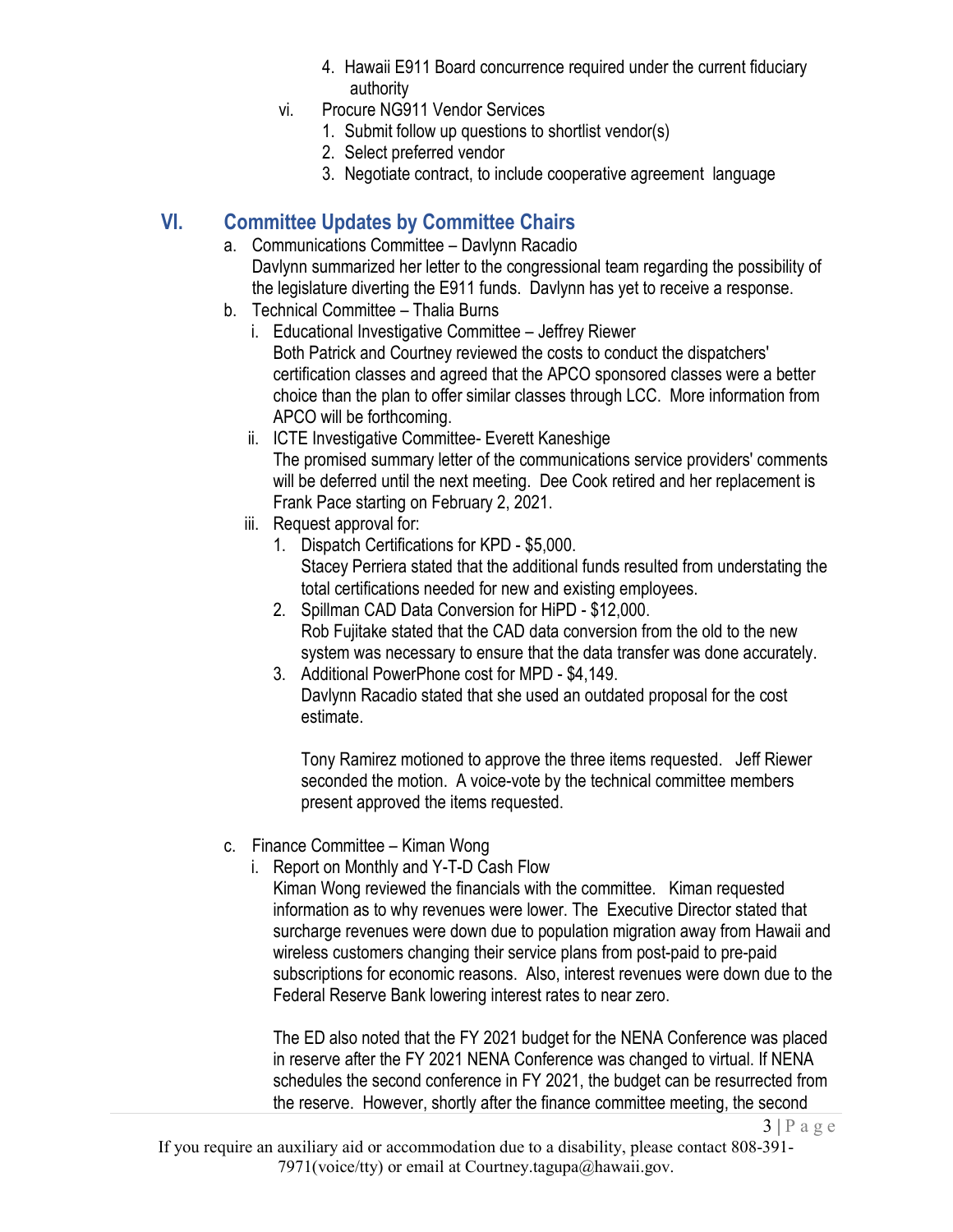- 4. Hawaii E911 Board concurrence required under the current fiduciary authority
- vi. Procure NG911 Vendor Services
	- 1. Submit follow up questions to shortlist vendor(s)
	- 2. Select preferred vendor
	- 3. Negotiate contract, to include cooperative agreement language

# **VI. Committee Updates by Committee Chairs**

- a. Communications Committee Davlynn Racadio Davlynn summarized her letter to the congressional team regarding the possibility of the legislature diverting the E911 funds. Davlynn has yet to receive a response.
- b. Technical Committee Thalia Burns
	- i. Educational Investigative Committee Jeffrey Riewer Both Patrick and Courtney reviewed the costs to conduct the dispatchers' certification classes and agreed that the APCO sponsored classes were a better choice than the plan to offer similar classes through LCC. More information from APCO will be forthcoming.
	- ii. ICTE Investigative Committee- Everett Kaneshige The promised summary letter of the communications service providers' comments will be deferred until the next meeting. Dee Cook retired and her replacement is Frank Pace starting on February 2, 2021.
	- iii. Request approval for:
		- 1. Dispatch Certifications for KPD \$5,000. Stacey Perriera stated that the additional funds resulted from understating the total certifications needed for new and existing employees.
		- 2. Spillman CAD Data Conversion for HiPD \$12,000. Rob Fujitake stated that the CAD data conversion from the old to the new system was necessary to ensure that the data transfer was done accurately.
		- 3. Additional PowerPhone cost for MPD \$4,149. Davlynn Racadio stated that she used an outdated proposal for the cost estimate.

Tony Ramirez motioned to approve the three items requested. Jeff Riewer seconded the motion. A voice-vote by the technical committee members present approved the items requested.

- c. Finance Committee Kiman Wong
	- i. Report on Monthly and Y-T-D Cash Flow

Kiman Wong reviewed the financials with the committee. Kiman requested information as to why revenues were lower. The Executive Director stated that surcharge revenues were down due to population migration away from Hawaii and wireless customers changing their service plans from post-paid to pre-paid subscriptions for economic reasons. Also, interest revenues were down due to the Federal Reserve Bank lowering interest rates to near zero.

The ED also noted that the FY 2021 budget for the NENA Conference was placed in reserve after the FY 2021 NENA Conference was changed to virtual. If NENA schedules the second conference in FY 2021, the budget can be resurrected from the reserve. However, shortly after the finance committee meeting, the second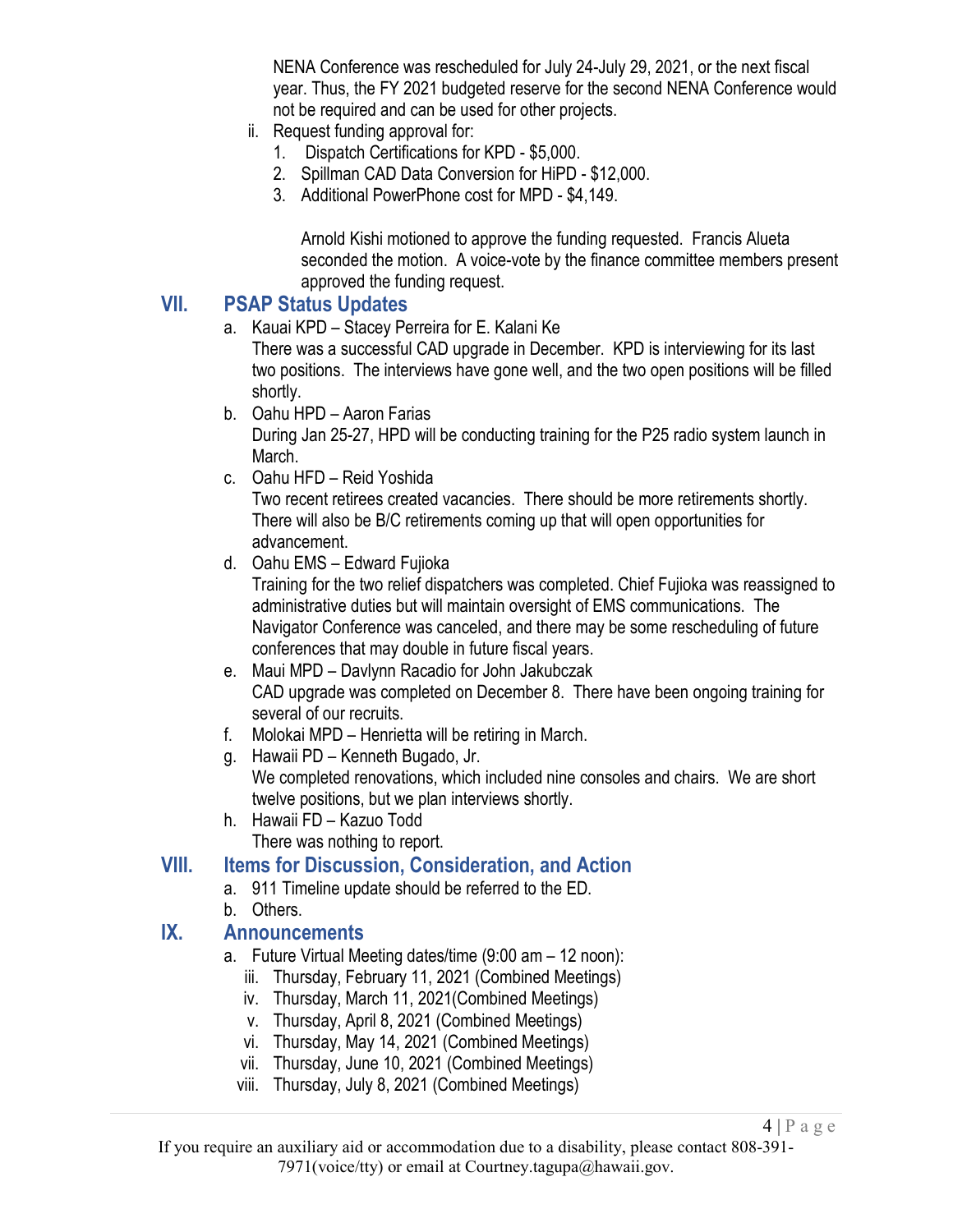NENA Conference was rescheduled for July 24-July 29, 2021, or the next fiscal year. Thus, the FY 2021 budgeted reserve for the second NENA Conference would not be required and can be used for other projects.

- ii. Request funding approval for:
	- 1. Dispatch Certifications for KPD \$5,000.
	- 2. Spillman CAD Data Conversion for HiPD \$12,000.
	- 3. Additional PowerPhone cost for MPD \$4,149.

Arnold Kishi motioned to approve the funding requested. Francis Alueta seconded the motion. A voice-vote by the finance committee members present approved the funding request.

### **VII. PSAP Status Updates**

a. Kauai KPD – Stacey Perreira for E. Kalani Ke

There was a successful CAD upgrade in December. KPD is interviewing for its last two positions. The interviews have gone well, and the two open positions will be filled shortly.

- b. Oahu HPD Aaron Farias During Jan 25-27, HPD will be conducting training for the P25 radio system launch in March.
- c. Oahu HFD Reid Yoshida

Two recent retirees created vacancies. There should be more retirements shortly. There will also be B/C retirements coming up that will open opportunities for advancement.

d. Oahu EMS – Edward Fujioka

Training for the two relief dispatchers was completed. Chief Fujioka was reassigned to administrative duties but will maintain oversight of EMS communications. The Navigator Conference was canceled, and there may be some rescheduling of future conferences that may double in future fiscal years.

- e. Maui MPD Davlynn Racadio for John Jakubczak CAD upgrade was completed on December 8. There have been ongoing training for several of our recruits.
- f. Molokai MPD Henrietta will be retiring in March.
- g. Hawaii PD Kenneth Bugado, Jr. We completed renovations, which included nine consoles and chairs. We are short twelve positions, but we plan interviews shortly.
- h. Hawaii FD Kazuo Todd There was nothing to report.

### **VIII. Items for Discussion, Consideration, and Action**

- a. 911 Timeline update should be referred to the ED.
- b. Others.

### **IX. Announcements**

- a. Future Virtual Meeting dates/time (9:00 am 12 noon):
	- iii. Thursday, February 11, 2021 (Combined Meetings)
	- iv. Thursday, March 11, 2021(Combined Meetings)
	- v. Thursday, April 8, 2021 (Combined Meetings)
	- vi. Thursday, May 14, 2021 (Combined Meetings)
	- vii. Thursday, June 10, 2021 (Combined Meetings)
	- viii. Thursday, July 8, 2021 (Combined Meetings)